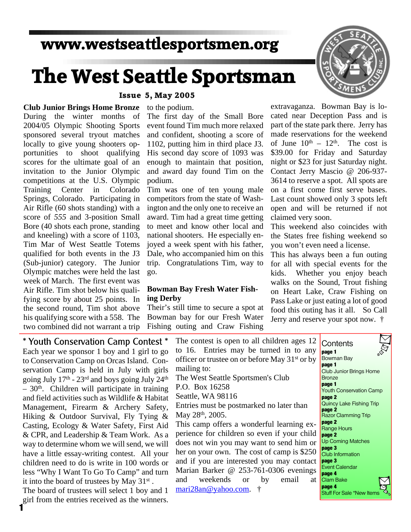### **www.westseattlesportsmen.org**

# **The West Seattle Sportsman**

#### **Issue 5, May 2005**

to the podium.

**Club Junior Brings Home Bronze** During the winter months of 2004/05 Olympic Shooting Sports sponsored several tryout matches locally to give young shooters opportunities to shoot qualifying scores for the ultimate goal of an invitation to the Junior Olympic competitions at the U.S. Olympic Training Center in Colorado Springs, Colorado. Participating in Air Rifle (60 shots standing) with a score of *555* and 3-position Small Bore (40 shots each prone, standing and kneeling) with a score of 1103, Tim Mar of West Seattle Totems qualified for both events in the J3 (Sub-junior) category. The Junior Olympic matches were held the last week of March. The first event was Air Rifle. Tim shot below his qualifying score by about 25 points. In the second round, Tim shot above his qualifying score with a 558. The two combined did not warrant a trip

The first day of the Small Bore event found Tim much more relaxed and confident, shooting a score of 1102, putting him in third place J3. His second day score of 1093 was enough to maintain that position, and award day found Tim on the podium.

Tim was one of ten young male competitors from the state of Washington and the only one to receive an award. Tim had a great time getting to meet and know other local and national shooters. He especially enjoyed a week spent with his father, Dale, who accompanied him on this trip. Congratulations Tim, way to go.

#### **Bowman Bay Fresh Water Fishing Derby**

Their's still time to secure a spot at Bowman bay for our Fresh Water Fishing outing and Craw Fishing

extravaganza. Bowman Bay is located near Deception Pass and is part of the state park there. Jerry has made reservations for the weekend of June  $10^{th} - 12^{th}$ . The cost is \$39.00 for Friday and Saturday night or \$23 for just Saturday night. Contact Jerry Mascio @ 206-937- 3614 to reserve a spot. All spots are on a first come first serve bases. Last count showed only 3 spots left open and will be returned if not claimed very soon.

This weekend also coincides with the States free fishing weekend so you won't even need a license.

This has always been a fun outing for all with special events for the kids. Whether you enjoy beach walks on the Sound, Trout fishing on Heart Lake, Craw Fishing on Pass Lake or just eating a lot of good food this outing has it all. So Call Jerry and reserve your spot now. †

\* Youth Conservation Camp Contest \* Each year we sponsor 1 boy and 1 girl to go to Conservation Camp on Orcas Island. Conservation Camp is held in July with girls going July  $17<sup>th</sup> - 23<sup>rd</sup>$  and boys going July  $24<sup>th</sup>$  $-30<sup>th</sup>$ . Children will participate in training and field activities such as Wildlife & Habitat Management, Firearm & Archery Safety, Hiking & Outdoor Survival, Fly Tying & Casting, Ecology & Water Safety, First Aid & CPR, and Leadership & Team Work. As a way to determine whom we will send, we will have a little essay-writing contest. All your children need to do is write in 100 words or less "Why I Want To Go To Camp" and turn it into the board of trustees by May 31<sup>st</sup>.

The board of trustees will select 1 boy and 1 girl from the entries received as the winners. **1**

The contest is open to all children ages 12 to 16. Entries may be turned in to any officer or trustee on or before May 31st or by mailing to: The West Seattle Sportsmen's Club P.O. Box 16258 Seattle, WA 98116 Entries must be postmarked no later than May 28<sup>th</sup>, 2005. This camp offers a wonderful learning experience for children so even if your child does not win you may want to send him or her on your own. The cost of camp is \$250 and if you are interested you may contact Marian Barker @ 253-761-0306 evenings and weekends or by email at

mari28an@yahoo.com. †



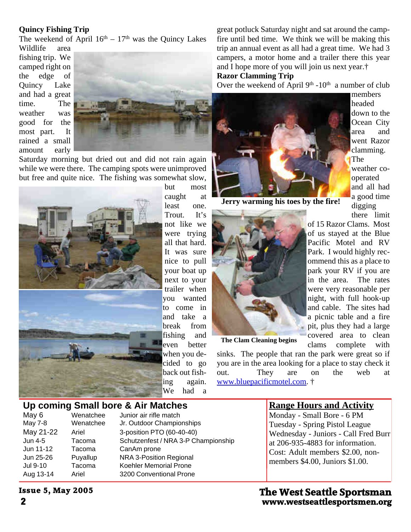#### **Quincy Fishing Trip**

The weekend of April  $16<sup>th</sup> - 17<sup>th</sup>$  was the Quincy Lakes

Wildlife area fishing trip. We camped right on the edge of Quincy Lake and had a great time. The weather was good for the most part. It rained a small amount early



Saturday morning but dried out and did not rain again while we were there. The camping spots were unimproved but free and quite nice. The fishing was somewhat slow,



but most caught at least one. Trout. It's not like we were trying all that hard. It was sure nice to pull your boat up next to your trailer when you wanted to come in and take a break from fishing and even better when you decided to go back out fishing again. We had a

great potluck Saturday night and sat around the campfire until bed time. We think we will be making this trip an annual event as all had a great time. We had 3 campers, a motor home and a trailer there this year and I hope more of you will join us next year.†

#### **Razor Clamming Trip**

Over the weekend of April  $9<sup>th</sup> - 10<sup>th</sup>$  a number of club

members headed down to the Ocean City area and went Razor clamming.

The

of 15 Razor Clams. Most of us stayed at the Blue Pacific Motel and RV Park. I would highly recommend this as a place to park your RV if you are

were very reasonable per

a picnic table and a fire

clams complete with

weather cooperated and all had a good time digging there limit



**Jerry warming his toes by the fire!**



**The Clam Cleaning begins**

sinks. The people that ran the park were great so if you are in the area looking for a place to stay check it out. They are on the web at www.bluepacificmotel.com. †

## **Up coming Small bore & Air Matches**<br>May 6 Wenatchee Junior air rifle match

May 6 Wenatchee Junior air rifle match<br>May 7-8 Wenatchee Jr. Outdoor Champio Jr. Outdoor Championships May 21-22 Ariel 3-position PTO (60-40-40) Jun 4-5 Tacoma Schutzenfest / NRA 3-P Championship Jun 11-12 Tacoma CanAm prone Jun 25-26 Puyallup NRA 3-Position Regional Jul 9-10 Tacoma Koehler Memorial Prone Aug 13-14 Ariel 3200 Conventional Prone

#### **Range Hours and Activity**

Monday - Small Bore - 6 PM Tuesday - Spring Pistol League Wednesday - Juniors - Call Fred Burr at 206-935-4883 for information. Cost: Adult members \$2.00, nonmembers \$4.00, Juniors \$1.00.

**2 www.westseattlesportsmen.org The West Seattle Sportsman**

**Issue 5, May 2005**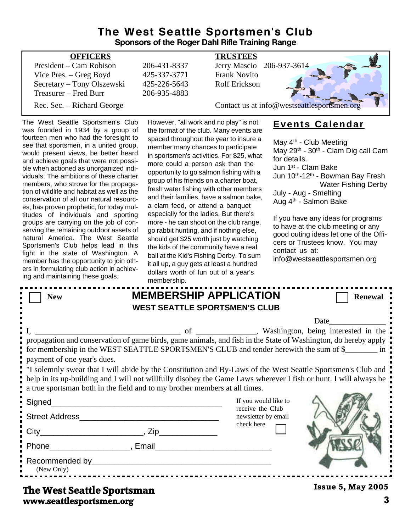#### **The West Seattle Sportsmen's Club Sponsors of the Roger Dahl Rifle Training Range**

| <b>OFFICERS</b>            |              | <b>TRUSTEES</b>                             |
|----------------------------|--------------|---------------------------------------------|
| President – Cam Robison    | 206-431-8337 | Jerry Mascio 206-937-3614                   |
| Vice Pres. – Greg Boyd     | 425-337-3771 | <b>Frank Novito</b>                         |
| Secretary – Tony Olszewski | 425-226-5643 | <b>Rolf Erickson</b>                        |
| Treasurer – Fred Burr      | 206-935-4883 |                                             |
| Rec. Sec. – Richard George |              | Contact us at info@westseattlesportsmen.org |
|                            |              |                                             |

The West Seattle Sportsmen's Club was founded in 1934 by a group of fourteen men who had the foresight to see that sportsmen, in a united group, would present views, be better heard and achieve goals that were not possible when actioned as unorganized individuals. The ambitions of these charter members, who strove for the propagation of wildlife and habitat as well as the conservation of all our natural resources, has proven prophetic, for today multitudes of individuals and sporting groups are carrying on the job of conserving the remaining outdoor assets of natural America. The West Seattle Sportsmen's Club helps lead in this fight in the state of Washington. A member has the opportunity to join others in formulating club action in achieving and maintaining these goals.

However, "all work and no play" is not the format of the club. Many events are spaced throughout the year to insure a member many chances to participate in sportsmen's activities. For \$25, what more could a person ask than the opportunity to go salmon fishing with a group of his friends on a charter boat, fresh water fishing with other members and their families, have a salmon bake, a clam feed, or attend a banquet especially for the ladies. But there's more - he can shoot on the club range, go rabbit hunting, and if nothing else, should get \$25 worth just by watching the kids of the community have a real ball at the Kid's Fishing Derby. To sum it all up, a guy gets at least a hundred dollars worth of fun out of a year's membership.

### **Events Calendar**

May 4<sup>th</sup> - Club Meeting May 29th - 30th - Clam Dig call Cam for details. Jun 1st - Clam Bake Jun 10th-12th - Bowman Bay Fresh Water Fishing Derby July - Aug - Smelting Aug 4th - Salmon Bake

If you have any ideas for programs to have at the club meeting or any good outing ideas let one of the Officers or Trustees know. You may contact us at:

| info@westseattlesportsmen.org |  |
|-------------------------------|--|
|-------------------------------|--|

|                             | membership.                                                                                                                                                                                                                   |                                                                                                                                                                                                                                                                                                                                                                                                                                            |
|-----------------------------|-------------------------------------------------------------------------------------------------------------------------------------------------------------------------------------------------------------------------------|--------------------------------------------------------------------------------------------------------------------------------------------------------------------------------------------------------------------------------------------------------------------------------------------------------------------------------------------------------------------------------------------------------------------------------------------|
| <b>New</b>                  |                                                                                                                                                                                                                               | <b>MEMBERSHIP APPLICATION</b><br><b>Renewal</b>                                                                                                                                                                                                                                                                                                                                                                                            |
|                             |                                                                                                                                                                                                                               | <b>WEST SEATTLE SPORTSMEN'S CLUB</b>                                                                                                                                                                                                                                                                                                                                                                                                       |
|                             |                                                                                                                                                                                                                               |                                                                                                                                                                                                                                                                                                                                                                                                                                            |
| payment of one year's dues. | a true sportsman both in the field and to my brother members at all times.                                                                                                                                                    | propagation and conservation of game birds, game animals, and fish in the State of Washington, do hereby apply<br>for membership in the WEST SEATTLE SPORTSMEN'S CLUB and tender herewith the sum of \$<br>I solemnly swear that I will abide by the Constitution and By-Laws of the West Seattle Sportsmen's Club and<br>help in its up-building and I will not willfully disobey the Game Laws wherever I fish or hunt. I will always be |
|                             |                                                                                                                                                                                                                               | If you would like to                                                                                                                                                                                                                                                                                                                                                                                                                       |
|                             |                                                                                                                                                                                                                               | receive the Club<br>newsletter by email                                                                                                                                                                                                                                                                                                                                                                                                    |
|                             |                                                                                                                                                                                                                               | check here.                                                                                                                                                                                                                                                                                                                                                                                                                                |
|                             | Phone Final Final Phone Final Phone Phone Phone Phone Phone Phone Phone Phone Phone Phone Phone Phone Phone Phone Phone Phone Phone Phone Phone Phone Phone Phone Phone Phone Phone Phone Phone Phone Phone Phone Phone Phone |                                                                                                                                                                                                                                                                                                                                                                                                                                            |
| (New Only)                  |                                                                                                                                                                                                                               |                                                                                                                                                                                                                                                                                                                                                                                                                                            |
| The West Seattle Snortsman  |                                                                                                                                                                                                                               | <b>Issue 5, May 2005</b>                                                                                                                                                                                                                                                                                                                                                                                                                   |

#### **www.seattlesportsmen.org 3 The West Seattle Sportsman**